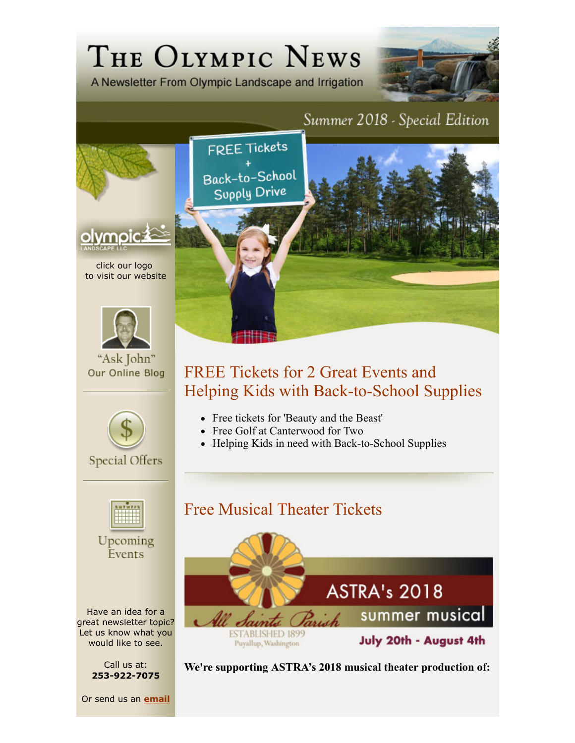# THE OLYMPIC NEWS

A Newsletter From Olympic Landscape and Irrigation



#### Summer 2018 - Special Edition



click our logo to visit our website



"Ask John" Our Online Blog



**Special Offers** 



Upcoming Events

Have an idea for a great newsletter topic? Let us know what you would like to see.

> Call us at: **253-922-7075**

Or send us an **email**



## FREE Tickets for 2 Great Events and Helping Kids with Back-to-School Supplies

- Free tickets for 'Beauty and the Beast'
- Free Golf at Canterwood for Two
- Helping Kids in need with Back-to-School Supplies

# Free Musical Theater Tickets



**We're supporting ASTRA's 2018 musical theater production of:**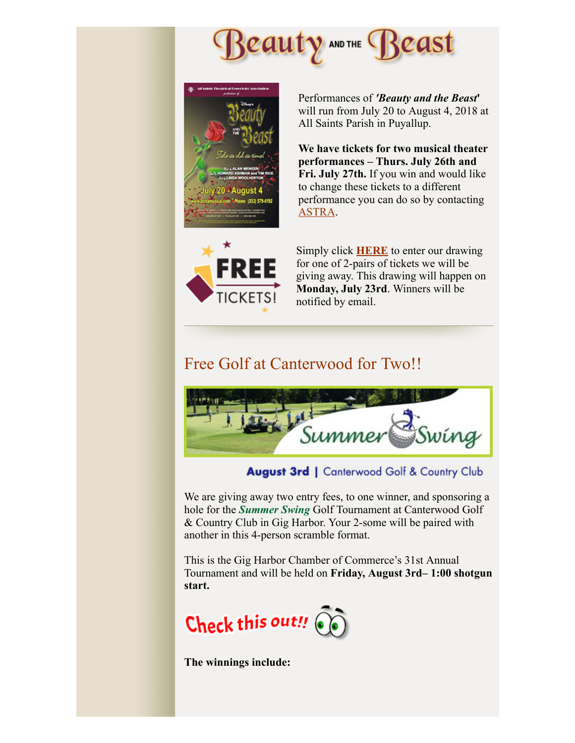





Performances of *'Beauty and the Beast***'** will run from July 20 to August 4, 2018 at All Saints Parish in Puyallup.

**We have tickets for two musical theater performances – Thurs. July 26th and Fri. July 27th.** If you win and would like to change these tickets to a different performance you can do so by contacting ASTRA.

Simply click **HERE** to enter our drawing for one of 2-pairs of tickets we will be giving away. This drawing will happen on **Monday, July 23rd**. Winners will be notified by email.

#### Free Golf at Canterwood for Two!!



August 3rd | Canterwood Golf & Country Club

We are giving away two entry fees, to one winner, and sponsoring a hole for the *Summer Swing* Golf Tournament at Canterwood Golf & Country Club in Gig Harbor. Your 2-some will be paired with another in this 4-person scramble format.

This is the Gig Harbor Chamber of Commerce's 31st Annual Tournament and will be held on **Friday, August 3rd– 1:00 shotgun start.** 



**The winnings include:**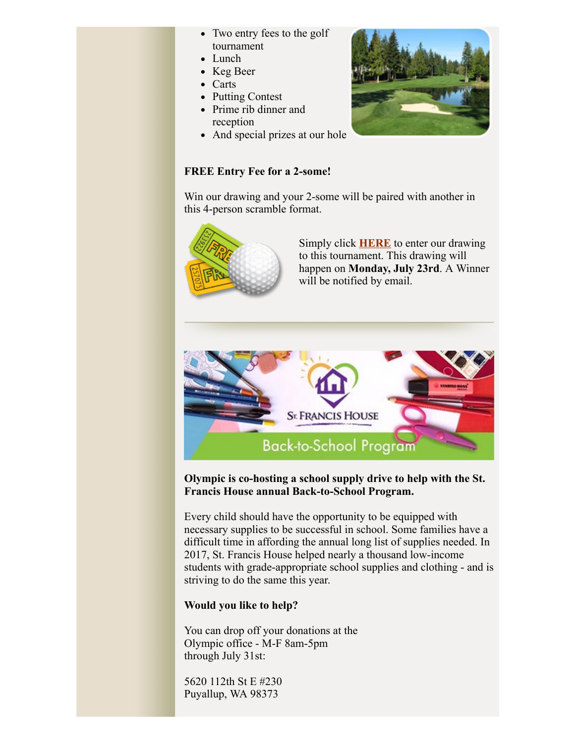- Two entry fees to the golf tournament
- Lunch
- Keg Beer
- Carts
- Putting Contest
- Prime rib dinner and reception
- And special prizes at our hole

### **FREE Entry Fee for a 2-some!**

Win our drawing and your 2-some will be paired with another in this 4-person scramble format.



Simply click **HERE** to enter our drawing to this tournament. This drawing will happen on **Monday, July 23rd**. A Winner will be notified by email.



**Olympic is co-hosting a school supply drive to help with the St. Francis House annual Back-to-School Program.** 

Every child should have the opportunity to be equipped with necessary supplies to be successful in school. Some families have a difficult time in affording the annual long list of supplies needed. In 2017, St. Francis House helped nearly a thousand low-income students with grade-appropriate school supplies and clothing - and is striving to do the same this year.

#### **Would you like to help?**

You can drop off your donations at the Olympic office - M-F 8am-5pm through July 31st:

5620 112th St E #230 Puyallup, WA 98373